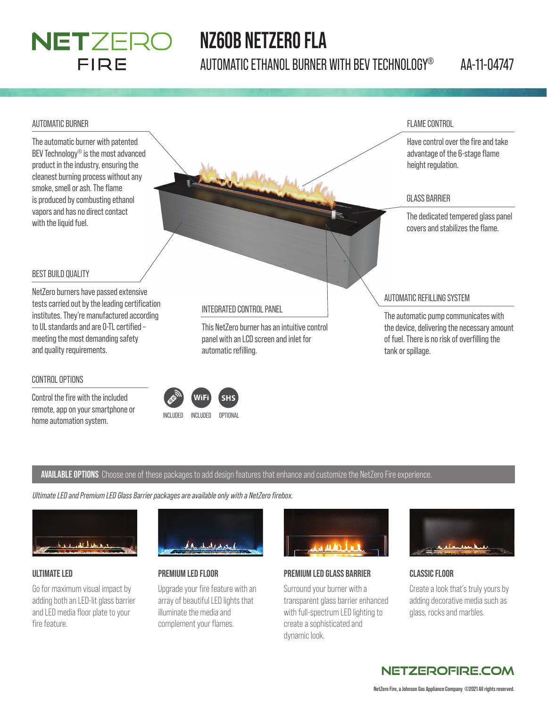### NETZERO FIRE

## **NZ60B NETZERO FLA**

AUTOMATIC ETHANOL BURNER WITH BEV TECHNOLOGY® AA-11-04747

#### AUTOMATIC BURNER

The automatic burner with patented BEV Technology® is the most advanced product in the industry, ensuring the cleanest burning process without any smoke, smell or ash. The flame is produced by combusting ethanol vapors and has no direct contact with the liquid fuel.

#### FLAME CONTROL

Have control over the fire and take advantage of the 6-stage flame height regulation.

#### GLASS BARRIER

The dedicated tempered glass panel covers and stabilizes the flame.

#### BEST BUILD QUALITY

NetZero burners have passed extensive tests carried out by the leading certification institutes. They're manufactured according to UL standards and are 0-TL certified meeting the most demanding safety and quality requirements.

#### CONTROL OPTIONS

Control the fire with the included remote, app on your smartphone or home automation system.<br>
INCLUDED INCLUDED OPTIONAL

#### INTEGRATED CONTROL PANEL

This NetZero burner has an intuitive control panel with an LCD screen and inlet for automatic refilling.

#### AUTOMATIC REFILLING SYSTEM

The automatic pump communicates with the device, delivering the necessary amount of fuel. There is no risk of overfilling the tank or spillage.

#### **AVAILABLE OPTIONS** Choose one of these packages to add design features that enhance and customize the NetZero Fire experience.

 $<sub>4</sub>$ </sub>

*Ultimate LED and Premium LED Glass Barrier packages are available only with a NetZero fi rebox.*



#### **ULTIMATE LED**

Go for maximum visual impact by adding both an LED-lit glass barrier and LED media floor plate to your fire feature.



### **PREMIUM LED FLOOR**

Upgrade your fire feature with an array of beautiful LED lights that illuminate the media and complement your flames.



#### **PREMIUM LED GLASS BARRIER**

Surround your burner with a transparent glass barrier enhanced with full-spectrum LED lighting to create a sophisticated and dynamic look.



#### **CLASSIC FLOOR**

Create a look that's truly yours by adding decorative media such as glass, rocks and marbles.